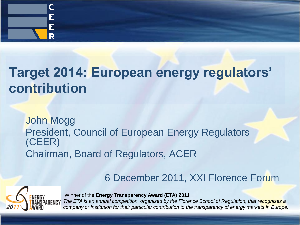

### **Target 2014: European energy regulators' contribution**

John Mogg President, Council of European Energy Regulators (CEER) Chairman, Board of Regulators, ACER

#### 6 December 2011, XXI Florence Forum



Winner of the **Energy Transparency Award (ETA) 2011** 

*The ETA is an annual competition, organised by the Florence School of Regulation, that recognises a company or institution for their particular contribution to the transparency of energy markets in Europe.*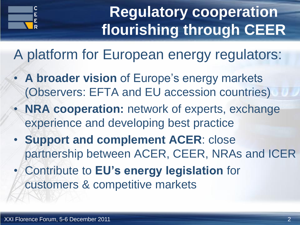

# **Regulatory cooperation flourishing through CEER**

A platform for European energy regulators:

- **A broader vision** of Europe's energy markets (Observers: EFTA and EU accession countries)
- **NRA cooperation:** network of experts, exchange experience and developing best practice
- **Support and complement ACER**: close partnership between ACER, CEER, NRAs and ICER
- Contribute to **EU's energy legislation** for customers & competitive markets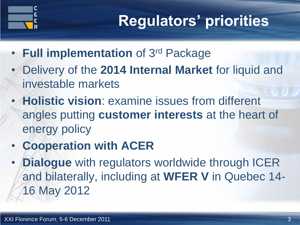

# **Regulators' priorities**

- **Full implementation** of 3rd Package
- Delivery of the **2014 Internal Market** for liquid and investable markets
- **Holistic vision**: examine issues from different angles putting **customer interests** at the heart of energy policy
- **Cooperation with ACER**
- **Dialogue** with regulators worldwide through ICER and bilaterally, including at **WFER V** in Quebec 14- 16 May 2012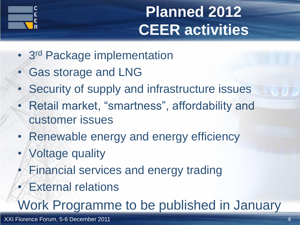

# **Planned 2012 CEER activities**

- 3<sup>rd</sup> Package implementation
- Gas storage and LNG
- Security of supply and infrastructure issues
- Retail market, "smartness", affordability and customer issues
- Renewable energy and energy efficiency
- Voltage quality
	- Financial services and energy trading
	- **External relations**

Work Programme to be published in January

XXI Florence Forum, 5-6 December 2011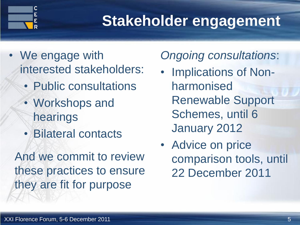

## **Stakeholder engagement**

- We engage with interested stakeholders:
	- Public consultations
	- Workshops and hearings
	- Bilateral contacts

And we commit to review these practices to ensure they are fit for purpose

### *Ongoing consultations*:

- Implications of Nonharmonised Renewable Support Schemes, until 6 January 2012
- Advice on price comparison tools, until 22 December 2011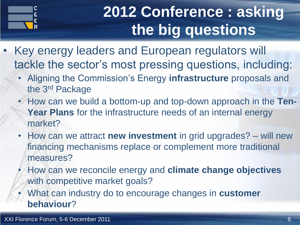

# **2012 Conference : asking the big questions**

- Key energy leaders and European regulators will tackle the sector's most pressing questions, including:
	- Aligning the Commission's Energy **infrastructure** proposals and the 3rd Package
	- How can we build a bottom-up and top-down approach in the **Ten-Year Plans** for the infrastructure needs of an internal energy market?
	- How can we attract **new investment** in grid upgrades? will new financing mechanisms replace or complement more traditional measures?
	- How can we reconcile energy and **climate change objectives** with competitive market goals?
	- What can industry do to encourage changes in **customer behaviour**?